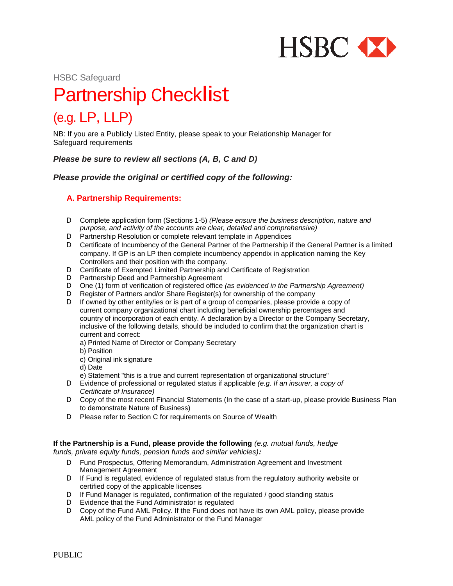

HSBC Safeguard

# Partnership Checklist

# (e.g. LP, LLP)

NB: If you are a Publicly Listed Entity, please speak to your Relationship Manager for Safeguard requirements

*Please be sure to review all sections (A, B, C and D)*

*Please provide the original or certified copy of the following:* 

# **A. Partnership Requirements:**

- D Complete application form (Sections 1-5) *(Please ensure the business description, nature and purpose, and activity of the accounts are clear, detailed and comprehensive)*
- D Partnership Resolution or complete relevant template in Appendices
- D Certificate of Incumbency of the General Partner of the Partnership if the General Partner is a limited company. If GP is an LP then complete incumbency appendix in application naming the Key Controllers and their position with the company.
- D Certificate of Exempted Limited Partnership and Certificate of Registration
- D Partnership Deed and Partnership Agreement
- D One (1) form of verification of registered office *(as evidenced in the Partnership Agreement)*
- D Register of Partners and/or Share Register(s) for ownership of the company
- D If owned by other entity/ies or is part of a group of companies, please provide a copy of current company organizational chart including beneficial ownership percentages and country of incorporation of each entity. A declaration by a Director or the Company Secretary, inclusive of the following details, should be included to confirm that the organization chart is current and correct:
	- a) Printed Name of Director or Company Secretary
	- b) Position
	- c) Original ink signature
	- d) Date
	- e) Statement "this is a true and current representation of organizational structure"
- D Evidence of professional or regulated status if applicable *(e.g. If an insurer, a copy of Certificate of Insurance)*
- D Copy of the most recent Financial Statements (In the case of a start-up, please provide Business Plan to demonstrate Nature of Business)
- D Please refer to Section C for requirements on Source of Wealth

**If the Partnership is a Fund, please provide the following** *(e.g. mutual funds, hedge funds, private equity funds, pension funds and similar vehicles):*

- D Fund Prospectus, Offering Memorandum, Administration Agreement and Investment Management Agreement
- D If Fund is regulated, evidence of regulated status from the regulatory authority website or certified copy of the applicable licenses
- D If Fund Manager is regulated, confirmation of the regulated / good standing status
- D Evidence that the Fund Administrator is regulated
- D Copy of the Fund AML Policy. If the Fund does not have its own AML policy, please provide AML policy of the Fund Administrator or the Fund Manager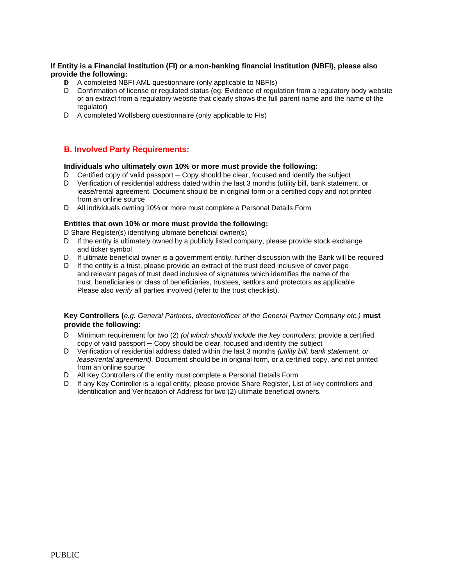#### **If Entity is a Financial Institution (FI) or a non-banking financial institution (NBFI), please also provide the following:**

- **D** A completed NBFI AML questionnaire (only applicable to NBFIs)
- D Confirmation of license or regulated status (eg. Evidence of regulation from a regulatory body website or an extract from a regulatory website that clearly shows the full parent name and the name of the regulator)
- D A completed Wolfsberg questionnaire (only applicable to FIs)

## **B. Involved Party Requirements:**

#### **Individuals who ultimately own 10% or more must provide the following:**

- D Certified copy of valid passport Copy should be clear, focused and identify the subject  $D$  Verification of residential address dated within the last 3 months (utility bill bank statement)
- Verification of residential address dated within the last 3 months (utility bill, bank statement, or lease/rental agreement. Document should be in original form or a certified copy and not printed from an online source
- D All individuals owning 10% or more must complete a Personal Details Form

#### **Entities that own 10% or more must provide the following:**

D Share Register(s) identifying ultimate beneficial owner(s)

- D If the entity is ultimately owned by a publicly listed company, please provide stock exchange and ticker symbol
- D If ultimate beneficial owner is a government entity, further discussion with the Bank will be required
- D If the entity is a trust, please provide an extract of the trust deed inclusive of cover page and relevant pages of trust deed inclusive of signatures which identifies the name of the trust, beneficiaries or class of beneficiaries, trustees, settlors and protectors as applicable Please also *verify* all parties involved (refer to the trust checklist).

#### **Key Controllers (***e.g. General Partners, director/officer of the General Partner Company etc.)* **must provide the following:**

- D Minimum requirement for two (2) *(of which should include the key controllers:* provide a certified copy of valid passport – Copy should be clear, focused and identify the subject
- D Verification of residential address dated within the last 3 months *(utility bill, bank statement, or lease/rental agreement).* Document should be in original form, or a certified copy, and not printed from an online source
- D All Key Controllers of the entity must complete a Personal Details Form
- D If any Key Controller is a legal entity, please provide Share Register, List of key controllers and Identification and Verification of Address for two (2) ultimate beneficial owners.